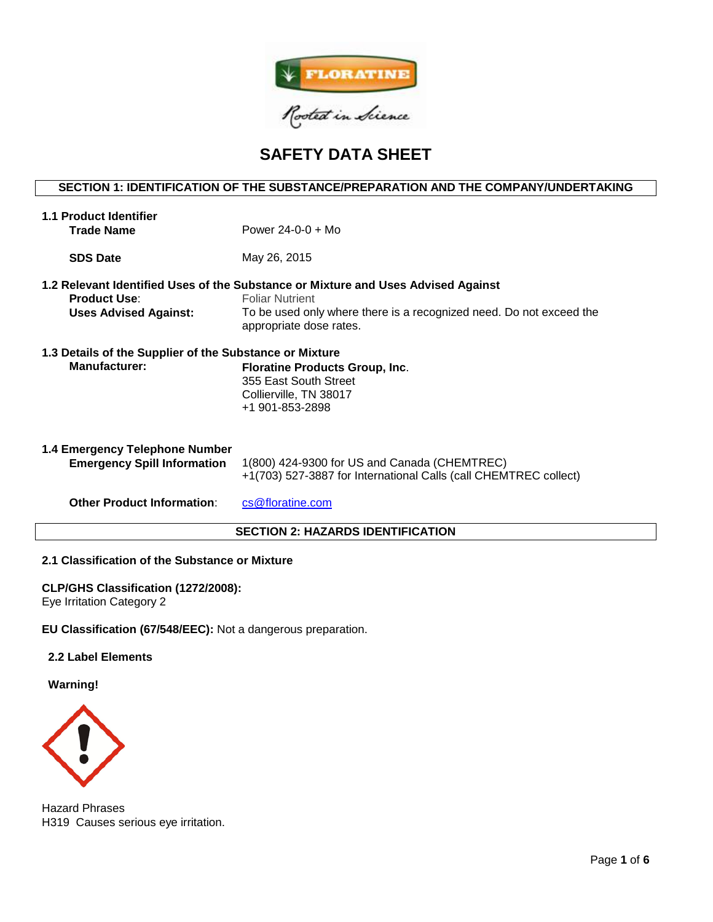

# **SAFETY DATA SHEET**

## **SECTION 1: IDENTIFICATION OF THE SUBSTANCE/PREPARATION AND THE COMPANY/UNDERTAKING**

| <b>1.1 Product Identifier</b><br><b>Trade Name</b>                              | Power $24 - 0 - 0 + Mo$                                                                                                                                                                                       |  |  |  |
|---------------------------------------------------------------------------------|---------------------------------------------------------------------------------------------------------------------------------------------------------------------------------------------------------------|--|--|--|
| <b>SDS Date</b>                                                                 | May 26, 2015                                                                                                                                                                                                  |  |  |  |
| <b>Product Use:</b><br><b>Uses Advised Against:</b>                             | 1.2 Relevant Identified Uses of the Substance or Mixture and Uses Advised Against<br><b>Foliar Nutrient</b><br>To be used only where there is a recognized need. Do not exceed the<br>appropriate dose rates. |  |  |  |
| 1.3 Details of the Supplier of the Substance or Mixture<br><b>Manufacturer:</b> | <b>Floratine Products Group, Inc.</b><br>355 East South Street<br>Collierville, TN 38017<br>+1 901-853-2898                                                                                                   |  |  |  |
| 1.4 Emergency Telephone Number<br><b>Emergency Spill Information</b>            | 1(800) 424-9300 for US and Canada (CHEMTREC)<br>+1(703) 527-3887 for International Calls (call CHEMTREC collect)                                                                                              |  |  |  |
| <b>Other Product Information:</b>                                               | cs@floratine.com                                                                                                                                                                                              |  |  |  |
| <b>SECTION 2: HAZARDS IDENTIFICATION</b>                                        |                                                                                                                                                                                                               |  |  |  |

## **2.1 Classification of the Substance or Mixture**

## **CLP/GHS Classification (1272/2008):**

Eye Irritation Category 2

**EU Classification (67/548/EEC):** Not a dangerous preparation.

## **2.2 Label Elements**

**Warning!**



Hazard Phrases H319 Causes serious eye irritation.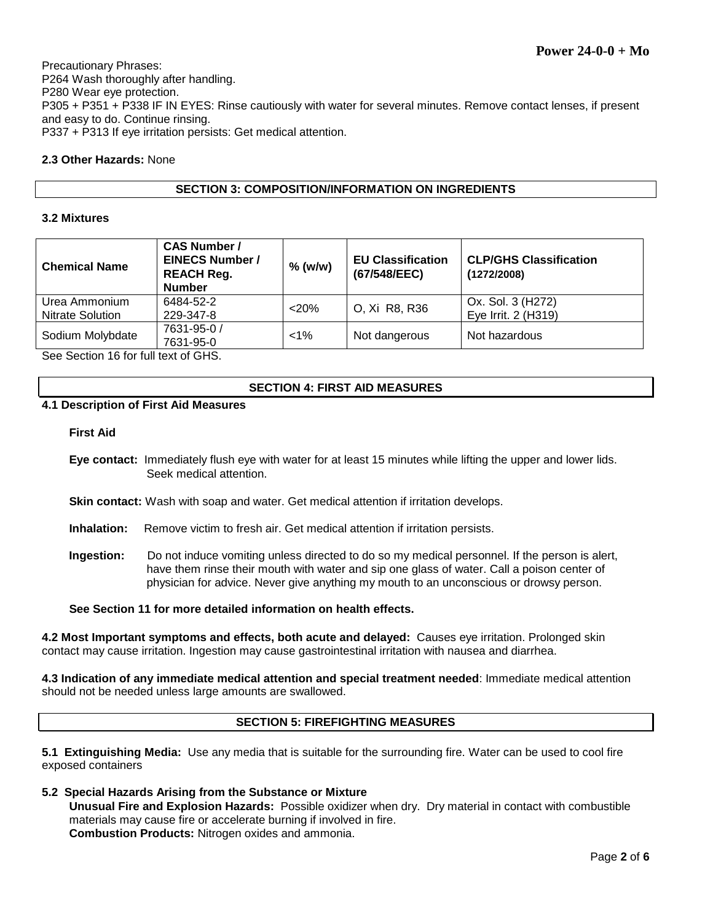Precautionary Phrases: P264 Wash thoroughly after handling. P280 Wear eye protection. P305 + P351 + P338 IF IN EYES: Rinse cautiously with water for several minutes. Remove contact lenses, if present and easy to do. Continue rinsing. P337 + P313 If eye irritation persists: Get medical attention.

## **2.3 Other Hazards:** None

## **SECTION 3: COMPOSITION/INFORMATION ON INGREDIENTS**

## **3.2 Mixtures**

| <b>Chemical Name</b>                     | <b>CAS Number /</b><br><b>EINECS Number /</b><br><b>REACH Reg.</b><br><b>Number</b> | $%$ (w/w) | <b>EU Classification</b><br>(67/548/EEC) | <b>CLP/GHS Classification</b><br>(1272/2008) |
|------------------------------------------|-------------------------------------------------------------------------------------|-----------|------------------------------------------|----------------------------------------------|
| Urea Ammonium<br><b>Nitrate Solution</b> | 6484-52-2<br>229-347-8                                                              | $<$ 20%   | O, Xi R8, R36                            | Ox. Sol. 3 (H272)<br>Eye Irrit. 2 (H319)     |
| Sodium Molybdate                         | 7631-95-0 /<br>7631-95-0                                                            | $< 1\%$   | Not dangerous                            | Not hazardous                                |

See Section 16 for full text of GHS.

## **SECTION 4: FIRST AID MEASURES**

## **4.1 Description of First Aid Measures**

#### **First Aid**

**Eye contact:** Immediately flush eye with water for at least 15 minutes while lifting the upper and lower lids. Seek medical attention.

**Skin contact:** Wash with soap and water. Get medical attention if irritation develops.

- **Inhalation:** Remove victim to fresh air. Get medical attention if irritation persists.
- **Ingestion:** Do not induce vomiting unless directed to do so my medical personnel. If the person is alert, have them rinse their mouth with water and sip one glass of water. Call a poison center of physician for advice. Never give anything my mouth to an unconscious or drowsy person.

**See Section 11 for more detailed information on health effects.**

**4.2 Most Important symptoms and effects, both acute and delayed:** Causes eye irritation. Prolonged skin contact may cause irritation. Ingestion may cause gastrointestinal irritation with nausea and diarrhea.

**4.3 Indication of any immediate medical attention and special treatment needed**: Immediate medical attention should not be needed unless large amounts are swallowed.

## **SECTION 5: FIREFIGHTING MEASURES**

**5.1 Extinguishing Media:** Use any media that is suitable for the surrounding fire. Water can be used to cool fire exposed containers

**5.2 Special Hazards Arising from the Substance or Mixture Unusual Fire and Explosion Hazards:** Possible oxidizer when dry. Dry material in contact with combustible materials may cause fire or accelerate burning if involved in fire. **Combustion Products:** Nitrogen oxides and ammonia.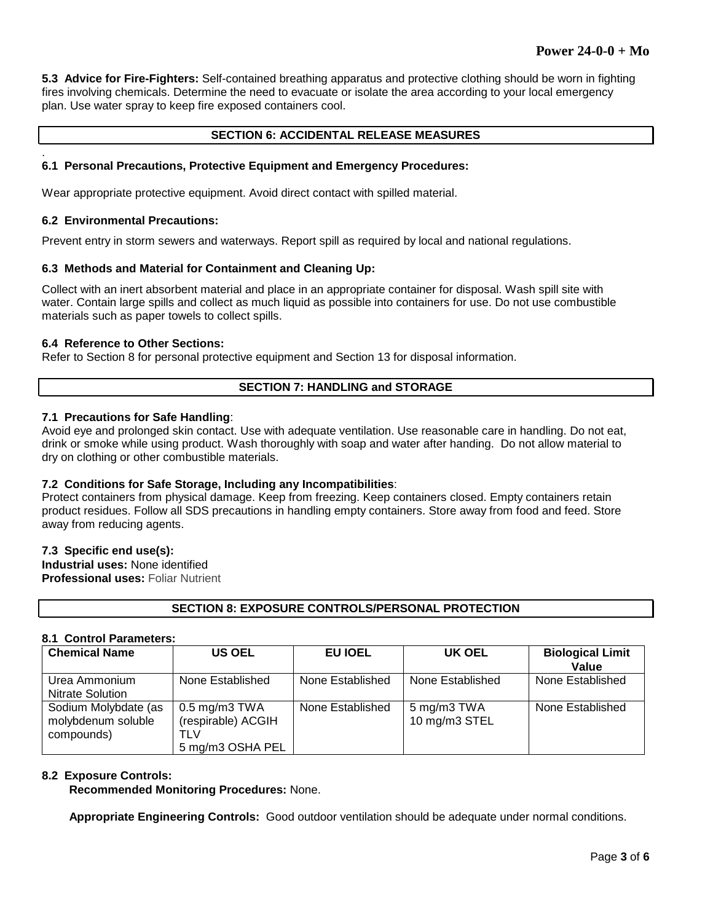**5.3 Advice for Fire-Fighters:** Self-contained breathing apparatus and protective clothing should be worn in fighting fires involving chemicals. Determine the need to evacuate or isolate the area according to your local emergency plan. Use water spray to keep fire exposed containers cool.

## **SECTION 6: ACCIDENTAL RELEASE MEASURES**

#### **6.1 Personal Precautions, Protective Equipment and Emergency Procedures:**

Wear appropriate protective equipment. Avoid direct contact with spilled material.

#### **6.2 Environmental Precautions:**

.

Prevent entry in storm sewers and waterways. Report spill as required by local and national regulations.

#### **6.3 Methods and Material for Containment and Cleaning Up:**

Collect with an inert absorbent material and place in an appropriate container for disposal. Wash spill site with water. Contain large spills and collect as much liquid as possible into containers for use. Do not use combustible materials such as paper towels to collect spills.

#### **6.4 Reference to Other Sections:**

Refer to Section 8 for personal protective equipment and Section 13 for disposal information.

## **SECTION 7: HANDLING and STORAGE**

## **7.1 Precautions for Safe Handling**:

Avoid eye and prolonged skin contact. Use with adequate ventilation. Use reasonable care in handling. Do not eat, drink or smoke while using product. Wash thoroughly with soap and water after handing. Do not allow material to dry on clothing or other combustible materials.

## **7.2 Conditions for Safe Storage, Including any Incompatibilities**:

Protect containers from physical damage. Keep from freezing. Keep containers closed. Empty containers retain product residues. Follow all SDS precautions in handling empty containers. Store away from food and feed. Store away from reducing agents.

#### **7.3 Specific end use(s):**

**Industrial uses:** None identified **Professional uses:** Foliar Nutrient

## **SECTION 8: EXPOSURE CONTROLS/PERSONAL PROTECTION**

#### **8.1 Control Parameters:**

| <b>Chemical Name</b>                                     | <b>US OEL</b>                                                       | EU IOEL          | UK OEL                       | <b>Biological Limit</b><br>Value |
|----------------------------------------------------------|---------------------------------------------------------------------|------------------|------------------------------|----------------------------------|
| Urea Ammonium<br><b>Nitrate Solution</b>                 | None Established                                                    | None Established | None Established             | None Established                 |
| Sodium Molybdate (as<br>molybdenum soluble<br>compounds) | $0.5$ mg/m $3$ TWA<br>(respirable) ACGIH<br>TLV<br>5 mg/m3 OSHA PEL | None Established | 5 mg/m3 TWA<br>10 mg/m3 STEL | None Established                 |

#### **8.2 Exposure Controls:**

**Recommended Monitoring Procedures:** None.

**Appropriate Engineering Controls:** Good outdoor ventilation should be adequate under normal conditions.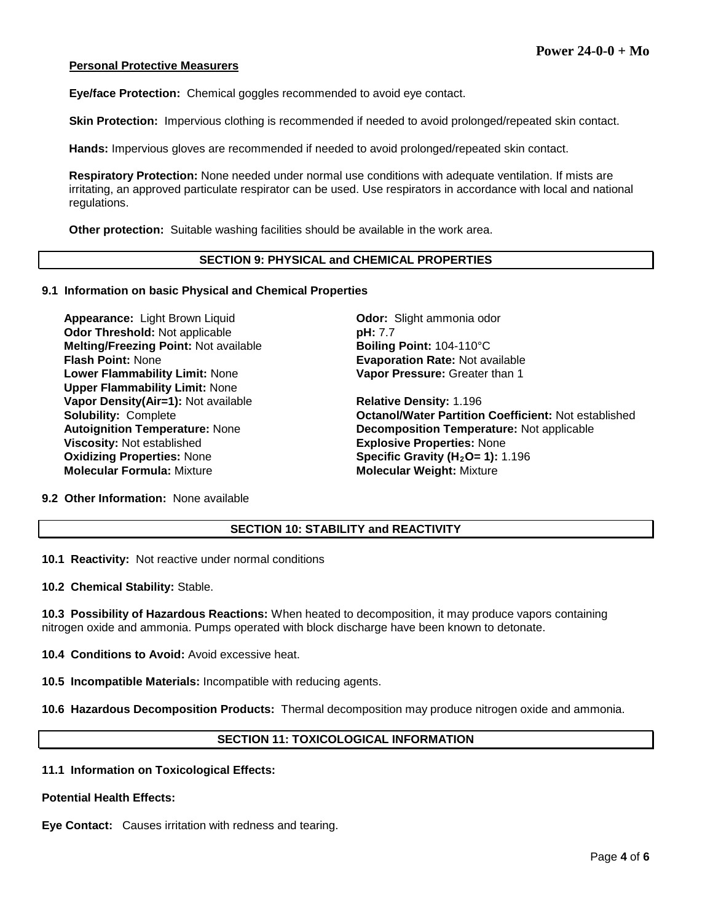#### **Personal Protective Measurers**

**Eye/face Protection:** Chemical goggles recommended to avoid eye contact.

**Skin Protection:** Impervious clothing is recommended if needed to avoid prolonged/repeated skin contact.

**Hands:** Impervious gloves are recommended if needed to avoid prolonged/repeated skin contact.

**Respiratory Protection:** None needed under normal use conditions with adequate ventilation. If mists are irritating, an approved particulate respirator can be used. Use respirators in accordance with local and national regulations.

**Other protection:** Suitable washing facilities should be available in the work area.

#### **SECTION 9: PHYSICAL and CHEMICAL PROPERTIES**

#### **9.1 Information on basic Physical and Chemical Properties**

**Appearance:** Light Brown Liquid **Connective Codor:** Slight ammonia odor **Odor Threshold:** Not applicable **pH: 7.7 Melting/Freezing Point: Not available <b>Boiling Point: 104-110°C Flash Point:** None **Evaporation Rate:** Not available **Lower Flammability Limit:** None **Upper Flammability Limit:** None **Vapor Density(Air=1):** Not available **Relative Density:** 1.196 **Viscosity:** Not established **Explosive Properties:** None **Oxidizing Properties: None <b>Specific Gravity (H<sub>2</sub>O= 1):** 1.196 **Molecular Formula:** Mixture **Molecular Weight:** Mixture

**Vapor Pressure:** Greater than 1

**Solubility:** Complete **Octanol/Water Partition Coefficient:** Not established **Autoignition Temperature:** Not applicable **Decomposition Temperature: Not applicable** 

**9.2 Other Information:** None available

## **SECTION 10: STABILITY and REACTIVITY**

**10.1 Reactivity:** Not reactive under normal conditions

**10.2 Chemical Stability:** Stable.

**10.3 Possibility of Hazardous Reactions:** When heated to decomposition, it may produce vapors containing nitrogen oxide and ammonia. Pumps operated with block discharge have been known to detonate.

**10.4 Conditions to Avoid:** Avoid excessive heat.

**10.5 Incompatible Materials:** Incompatible with reducing agents.

**10.6 Hazardous Decomposition Products:** Thermal decomposition may produce nitrogen oxide and ammonia.

## **SECTION 11: TOXICOLOGICAL INFORMATION**

#### **11.1 Information on Toxicological Effects:**

**Potential Health Effects:**

**Eye Contact:** Causes irritation with redness and tearing.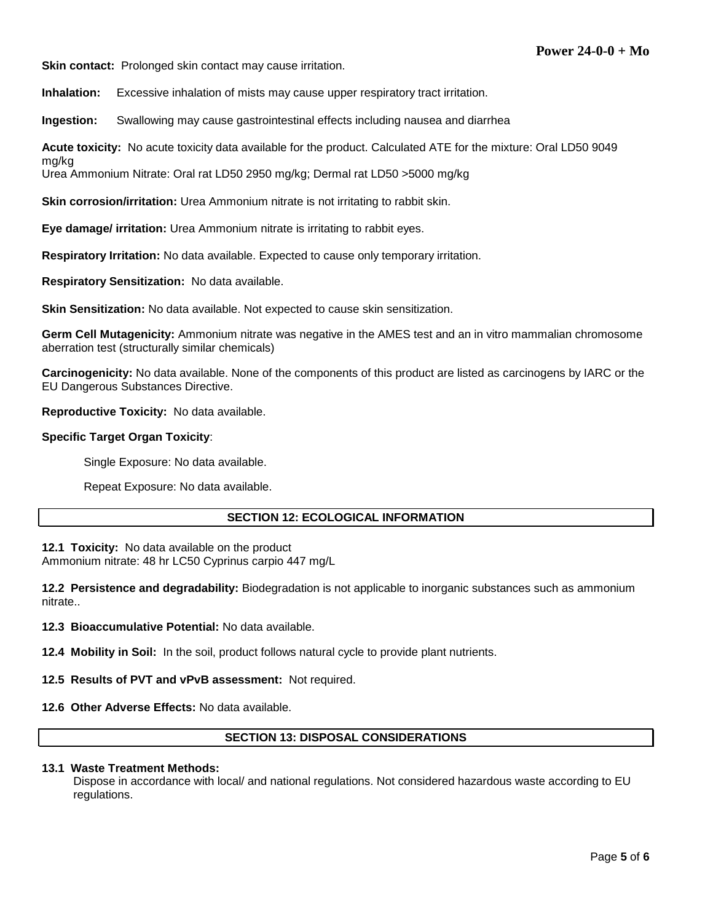**Skin contact:** Prolonged skin contact may cause irritation.

**Inhalation:** Excessive inhalation of mists may cause upper respiratory tract irritation.

**Ingestion:** Swallowing may cause gastrointestinal effects including nausea and diarrhea

**Acute toxicity:** No acute toxicity data available for the product. Calculated ATE for the mixture: Oral LD50 9049

Urea Ammonium Nitrate: Oral rat LD50 2950 mg/kg; Dermal rat LD50 >5000 mg/kg

**Skin corrosion/irritation:** Urea Ammonium nitrate is not irritating to rabbit skin.

**Eye damage/ irritation:** Urea Ammonium nitrate is irritating to rabbit eyes.

**Respiratory Irritation:** No data available. Expected to cause only temporary irritation.

**Respiratory Sensitization:** No data available.

**Skin Sensitization:** No data available. Not expected to cause skin sensitization.

**Germ Cell Mutagenicity:** Ammonium nitrate was negative in the AMES test and an in vitro mammalian chromosome aberration test (structurally similar chemicals)

**Carcinogenicity:** No data available. None of the components of this product are listed as carcinogens by IARC or the EU Dangerous Substances Directive.

**Reproductive Toxicity:** No data available.

#### **Specific Target Organ Toxicity**:

mg/kg

Single Exposure: No data available.

Repeat Exposure: No data available.

## **SECTION 12: ECOLOGICAL INFORMATION**

**12.1 Toxicity:** No data available on the product Ammonium nitrate: 48 hr LC50 Cyprinus carpio 447 mg/L

**12.2 Persistence and degradability:** Biodegradation is not applicable to inorganic substances such as ammonium nitrate..

**12.3 Bioaccumulative Potential:** No data available.

**12.4 Mobility in Soil:** In the soil, product follows natural cycle to provide plant nutrients.

#### **12.5 Results of PVT and vPvB assessment:** Not required.

#### **12.6 Other Adverse Effects:** No data available.

## **SECTION 13: DISPOSAL CONSIDERATIONS**

## **13.1 Waste Treatment Methods:**

Dispose in accordance with local/ and national regulations. Not considered hazardous waste according to EU regulations.